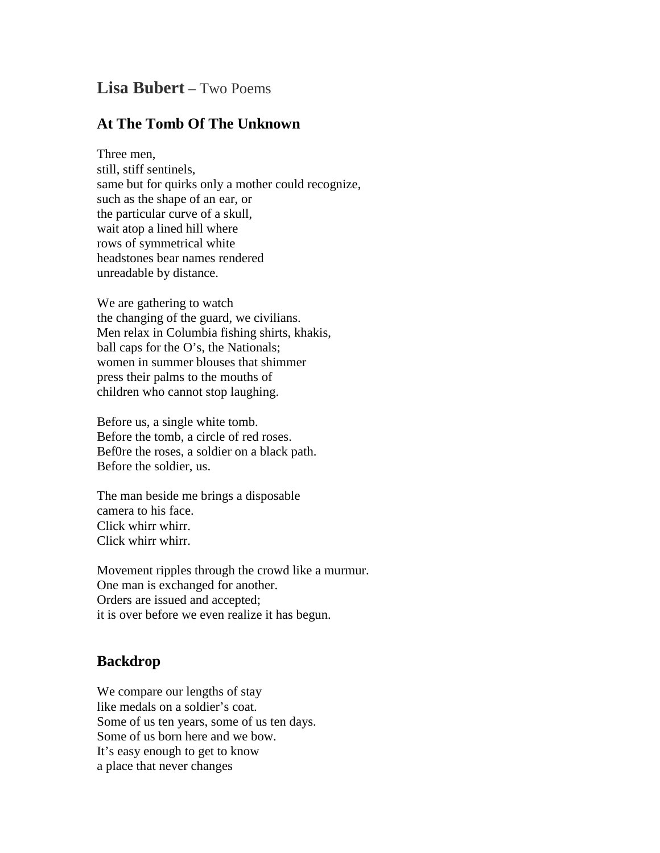## **Lisa Bubert** – Two Poems

## **At The Tomb Of The Unknown**

Three men, still, stiff sentinels, same but for quirks only a mother could recognize, such as the shape of an ear, or the particular curve of a skull, wait atop a lined hill where rows of symmetrical white headstones bear names rendered unreadable by distance.

We are gathering to watch the changing of the guard, we civilians. Men relax in Columbia fishing shirts, khakis, ball caps for the O's, the Nationals; women in summer blouses that shimmer press their palms to the mouths of children who cannot stop laughing.

Before us, a single white tomb. Before the tomb, a circle of red roses. Bef0re the roses, a soldier on a black path. Before the soldier, us.

The man beside me brings a disposable camera to his face. Click whirr whirr. Click whirr whirr.

Movement ripples through the crowd like a murmur. One man is exchanged for another. Orders are issued and accepted; it is over before we even realize it has begun.

## **Backdrop**

We compare our lengths of stay like medals on a soldier's coat. Some of us ten years, some of us ten days. Some of us born here and we bow. It's easy enough to get to know a place that never changes